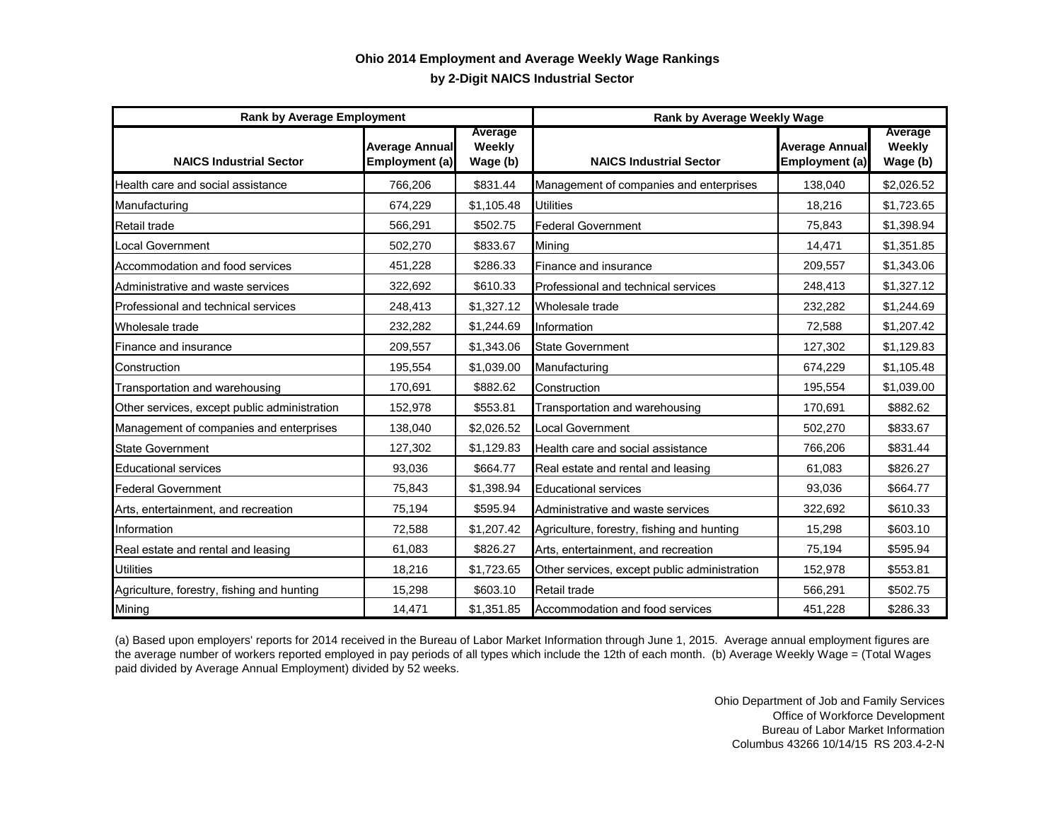## **by 2-Digit NAICS Industrial Sector Ohio 2014 Employment and Average Weekly Wage Rankings**

| <b>Rank by Average Employment</b>            |                                         |                               | Rank by Average Weekly Wage                  |                                         |                               |
|----------------------------------------------|-----------------------------------------|-------------------------------|----------------------------------------------|-----------------------------------------|-------------------------------|
| <b>NAICS Industrial Sector</b>               | <b>Average Annual</b><br>Employment (a) | Average<br>Weekly<br>Wage (b) | <b>NAICS Industrial Sector</b>               | <b>Average Annual</b><br>Employment (a) | Average<br>Weekly<br>Wage (b) |
| Health care and social assistance            | 766,206                                 | \$831.44                      | Management of companies and enterprises      | 138,040                                 | \$2,026.52                    |
| Manufacturing                                | 674,229                                 | \$1,105.48                    | Utilities                                    | 18,216                                  | \$1,723.65                    |
| Retail trade                                 | 566,291                                 | \$502.75                      | <b>Federal Government</b>                    | 75,843                                  | \$1,398.94                    |
| <b>Local Government</b>                      | 502,270                                 | \$833.67                      | Mining                                       | 14,471                                  | \$1,351.85                    |
| Accommodation and food services              | 451,228                                 | \$286.33                      | Finance and insurance                        | 209,557                                 | \$1,343.06                    |
| Administrative and waste services            | 322,692                                 | \$610.33                      | Professional and technical services          | 248,413                                 | \$1,327.12                    |
| Professional and technical services          | 248,413                                 | \$1,327.12                    | Wholesale trade                              | 232,282                                 | \$1,244.69                    |
| Wholesale trade                              | 232,282                                 | \$1,244.69                    | Information                                  | 72,588                                  | \$1,207.42                    |
| Finance and insurance                        | 209,557                                 | \$1,343.06                    | <b>State Government</b>                      | 127,302                                 | \$1,129.83                    |
| Construction                                 | 195,554                                 | \$1,039.00                    | Manufacturing                                | 674,229                                 | \$1,105.48                    |
| Transportation and warehousing               | 170,691                                 | \$882.62                      | Construction                                 | 195,554                                 | \$1,039.00                    |
| Other services, except public administration | 152,978                                 | \$553.81                      | Transportation and warehousing               | 170,691                                 | \$882.62                      |
| Management of companies and enterprises      | 138,040                                 | \$2,026.52                    | <b>Local Government</b>                      | 502,270                                 | \$833.67                      |
| <b>State Government</b>                      | 127,302                                 | \$1,129.83                    | Health care and social assistance            | 766,206                                 | \$831.44                      |
| <b>Educational services</b>                  | 93,036                                  | \$664.77                      | Real estate and rental and leasing           | 61,083                                  | \$826.27                      |
| <b>Federal Government</b>                    | 75,843                                  | \$1,398.94                    | <b>Educational services</b>                  | 93,036                                  | \$664.77                      |
| Arts, entertainment, and recreation          | 75,194                                  | \$595.94                      | Administrative and waste services            | 322,692                                 | \$610.33                      |
| Information                                  | 72,588                                  | \$1,207.42                    | Agriculture, forestry, fishing and hunting   | 15,298                                  | \$603.10                      |
| Real estate and rental and leasing           | 61,083                                  | \$826.27                      | Arts, entertainment, and recreation          | 75,194                                  | \$595.94                      |
| <b>Utilities</b>                             | 18,216                                  | \$1,723.65                    | Other services, except public administration | 152,978                                 | \$553.81                      |
| Agriculture, forestry, fishing and hunting   | 15,298                                  | \$603.10                      | Retail trade                                 | 566,291                                 | \$502.75                      |
| Mining                                       | 14,471                                  | \$1,351.85                    | Accommodation and food services              | 451,228                                 | \$286.33                      |

(a) Based upon employers' reports for 2014 received in the Bureau of Labor Market Information through June 1, 2015. Average annual employment figures are the average number of workers reported employed in pay periods of all types which include the 12th of each month. (b) Average Weekly Wage = (Total Wages paid divided by Average Annual Employment) divided by 52 weeks.

> Ohio Department of Job and Family Services Office of Workforce Development Bureau of Labor Market Information Columbus 43266 10/14/15 RS 203.4-2-N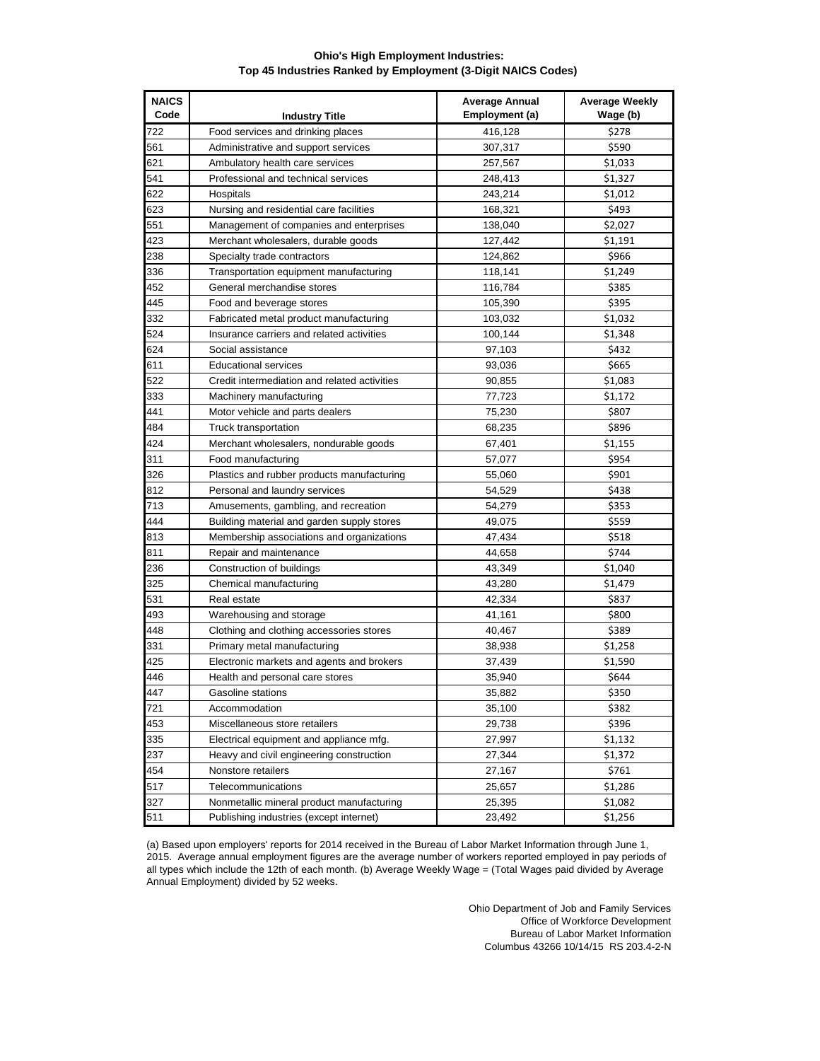## **Ohio's High Employment Industries: Top 45 Industries Ranked by Employment (3-Digit NAICS Codes)**

| <b>NAICS</b><br>Code | <b>Industry Title</b>                        | <b>Average Annual</b><br>Employment (a) | <b>Average Weekly</b><br>Wage (b) |
|----------------------|----------------------------------------------|-----------------------------------------|-----------------------------------|
| 722                  | Food services and drinking places            | 416,128                                 | \$278                             |
| 561                  | Administrative and support services          | 307,317                                 | \$590                             |
| 621                  | Ambulatory health care services              | 257,567                                 | \$1,033                           |
| 541                  | Professional and technical services          | 248,413                                 | \$1.327                           |
| 622                  | Hospitals                                    | 243,214                                 | \$1,012                           |
| 623                  | Nursing and residential care facilities      | 168,321                                 | \$493                             |
| 551                  | Management of companies and enterprises      | 138,040                                 | \$2,027                           |
| 423                  | Merchant wholesalers, durable goods          | 127,442                                 | \$1,191                           |
| 238                  | Specialty trade contractors                  | 124,862                                 | \$966                             |
| 336                  | Transportation equipment manufacturing       | 118,141                                 | \$1,249                           |
| 452                  | General merchandise stores                   | 116,784                                 | \$385                             |
| 445                  | Food and beverage stores                     | 105,390                                 | \$395                             |
| 332                  | Fabricated metal product manufacturing       | 103,032                                 | \$1,032                           |
| 524                  | Insurance carriers and related activities    | 100,144                                 | \$1,348                           |
| 624                  | Social assistance                            | 97,103                                  | \$432                             |
| 611                  | <b>Educational services</b>                  | 93,036                                  | \$665                             |
| 522                  | Credit intermediation and related activities | 90,855                                  | \$1,083                           |
| 333                  | Machinery manufacturing                      | 77,723                                  | \$1,172                           |
| 441                  | Motor vehicle and parts dealers              | 75,230                                  | \$807                             |
| 484                  | Truck transportation                         | 68,235                                  | \$896                             |
| 424                  | Merchant wholesalers, nondurable goods       | 67,401                                  | \$1,155                           |
| 311                  | Food manufacturing                           | 57,077                                  | \$954                             |
| 326                  | Plastics and rubber products manufacturing   | 55,060                                  | \$901                             |
| 812                  | Personal and laundry services                | 54,529                                  | \$438                             |
| 713                  | Amusements, gambling, and recreation         | 54,279                                  | \$353                             |
| 444                  | Building material and garden supply stores   | 49,075                                  | \$559                             |
| 813                  | Membership associations and organizations    | 47,434                                  | \$518                             |
| 811                  | Repair and maintenance                       | 44,658                                  | \$744                             |
| 236                  | Construction of buildings                    | 43,349                                  | \$1,040                           |
| 325                  | Chemical manufacturing                       | 43,280                                  | \$1,479                           |
| 531                  | Real estate                                  | 42,334                                  | \$837                             |
| 493                  | Warehousing and storage                      | 41,161                                  | \$800                             |
| 448                  | Clothing and clothing accessories stores     | 40,467                                  | \$389                             |
| 331                  | Primary metal manufacturing                  | 38,938                                  | \$1,258                           |
| 425                  | Electronic markets and agents and brokers    | 37,439                                  | \$1,590                           |
| 446                  | Health and personal care stores              | 35,940                                  | \$644                             |
| 447                  | Gasoline stations                            | 35,882                                  | \$350                             |
| 721                  | Accommodation                                | 35,100                                  | \$382                             |
| 453                  | Miscellaneous store retailers                | 29,738                                  | \$396                             |
| 335                  | Electrical equipment and appliance mfg.      | 27,997                                  | \$1,132                           |
| 237                  | Heavy and civil engineering construction     | 27,344                                  | \$1,372                           |
| 454                  | Nonstore retailers                           | 27,167                                  | \$761                             |
| 517                  | Telecommunications                           | 25,657                                  | \$1,286                           |
| 327                  | Nonmetallic mineral product manufacturing    | 25,395                                  | \$1,082                           |
| 511                  | Publishing industries (except internet)      | 23,492                                  | \$1,256                           |

(a) Based upon employers' reports for 2014 received in the Bureau of Labor Market Information through June 1, 2015. Average annual employment figures are the average number of workers reported employed in pay periods of all types which include the 12th of each month. (b) Average Weekly Wage = (Total Wages paid divided by Average Annual Employment) divided by 52 weeks.

> Ohio Department of Job and Family Services Office of Workforce Development Bureau of Labor Market Information Columbus 43266 10/14/15 RS 203.4-2-N